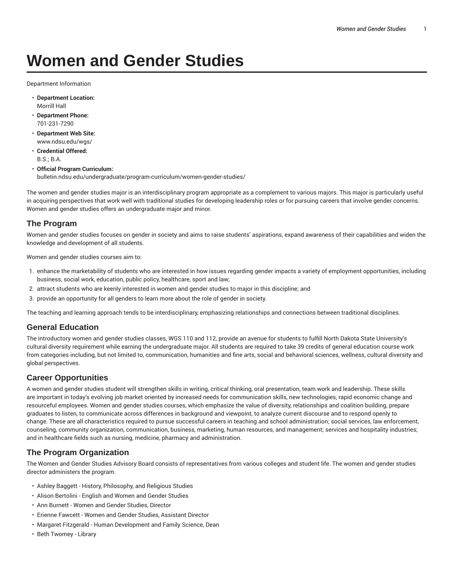# **Women and Gender Studies**

Department Information

- **Department Location:** Morrill Hall
- **Department Phone:** 701-231-7290
- **Department Web Site:** www.ndsu.edu/wgs/
- **Credential Offered:** B.S.; B.A.
- **Official Program Curriculum:** bulletin.ndsu.edu/undergraduate/program-curriculum/women-gender-studies/

The women and gender studies major is an interdisciplinary program appropriate as a complement to various majors. This major is particularly useful in acquiring perspectives that work well with traditional studies for developing leadership roles or for pursuing careers that involve gender concerns. Women and gender studies offers an undergraduate major and minor.

## **The Program**

Women and gender studies focuses on gender in society and aims to raise students' aspirations, expand awareness of their capabilities and widen the knowledge and development of all students.

Women and gender studies courses aim to:

- 1. enhance the marketability of students who are interested in how issues regarding gender impacts a variety of employment opportunities, including business, social work, education, public policy, healthcare, sport and law;
- 2. attract students who are keenly interested in women and gender studies to major in this discipline; and
- 3. provide an opportunity for all genders to learn more about the role of gender in society.

The teaching and learning approach tends to be interdisciplinary, emphasizing relationships and connections between traditional disciplines.

#### **General Education**

The introductory women and gender studies classes, WGS 110 and 112, provide an avenue for students to fulfill North Dakota State University's cultural diversity requirement while earning the undergraduate major. All students are required to take 39 credits of general education course work from categories including, but not limited to, communication, humanities and fine arts, social and behavioral sciences, wellness, cultural diversity and global perspectives.

### **Career Opportunities**

A women and gender studies student will strengthen skills in writing, critical thinking, oral presentation, team work and leadership. These skills are important in today's evolving job market oriented by increased needs for communication skills, new technologies, rapid economic change and resourceful employees. Women and gender studies courses, which emphasize the value of diversity, relationships and coalition building, prepare graduates to listen, to communicate across differences in background and viewpoint, to analyze current discourse and to respond openly to change. These are all characteristics required to pursue successful careers in teaching and school administration; social services, law enforcement, counseling, community organization, communication, business, marketing, human resources, and management; services and hospitality industries; and in healthcare fields such as nursing, medicine, pharmacy and administration.

### **The Program Organization**

The Women and Gender Studies Advisory Board consists of representatives from various colleges and student life. The women and gender studies director administers the program.

- Ashley Baggett History, Philosophy, and Religious Studies
- Alison Bertolini English and Women and Gender Studies
- Ann Burnett Women and Gender Studies, Director
- Erienne Fawcett Women and Gender Studies, Assistant Director
- Margaret Fitzgerald Human Development and Family Science, Dean
- Beth Twomey Library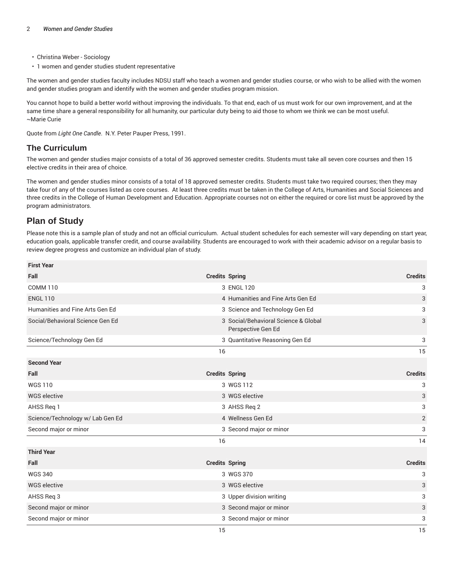- Christina Weber Sociology
- 1 women and gender studies student representative

The women and gender studies faculty includes NDSU staff who teach a women and gender studies course, or who wish to be allied with the women and gender studies program and identify with the women and gender studies program mission.

You cannot hope to build a better world without improving the individuals. To that end, each of us must work for our own improvement, and at the same time share a general responsibility for all humanity, our particular duty being to aid those to whom we think we can be most useful. ~Marie Curie

Quote from *Light One Candle*. N.Y. Peter Pauper Press, 1991.

#### **The Curriculum**

The women and gender studies major consists of a total of 36 approved semester credits. Students must take all seven core courses and then 15 elective credits in their area of choice.

The women and gender studies minor consists of a total of 18 approved semester credits. Students must take two required courses; then they may take four of any of the courses listed as core courses. At least three credits must be taken in the College of Arts, Humanities and Social Sciences and three credits in the College of Human Development and Education. Appropriate courses not on either the required or core list must be approved by the program administrators.

## **Plan of Study**

Please note this is a sample plan of study and not an official curriculum. Actual student schedules for each semester will vary depending on start year, education goals, applicable transfer credit, and course availability. Students are encouraged to work with their academic advisor on a regular basis to review degree progress and customize an individual plan of study.

| <b>First Year</b>                |                       |                                                            |                |
|----------------------------------|-----------------------|------------------------------------------------------------|----------------|
| Fall                             | <b>Credits Spring</b> |                                                            | <b>Credits</b> |
| <b>COMM 110</b>                  |                       | 3 ENGL 120                                                 | 3              |
| <b>ENGL 110</b>                  |                       | 4 Humanities and Fine Arts Gen Ed                          | 3              |
| Humanities and Fine Arts Gen Ed  |                       | 3 Science and Technology Gen Ed                            | 3              |
| Social/Behavioral Science Gen Ed |                       | 3 Social/Behavioral Science & Global<br>Perspective Gen Ed | 3              |
| Science/Technology Gen Ed        |                       | 3 Quantitative Reasoning Gen Ed                            | 3              |
|                                  | 16                    |                                                            | 15             |
| <b>Second Year</b>               |                       |                                                            |                |
| Fall                             | <b>Credits Spring</b> |                                                            | <b>Credits</b> |
| <b>WGS110</b>                    |                       | 3 WGS 112                                                  | 3              |
| <b>WGS</b> elective              |                       | 3 WGS elective                                             | 3              |
| AHSS Reg 1                       |                       | 3 AHSS Req 2                                               | 3              |
| Science/Technology w/ Lab Gen Ed |                       | 4 Wellness Gen Ed                                          | $\overline{2}$ |
| Second major or minor            |                       | 3 Second major or minor                                    | 3              |
|                                  | 16                    |                                                            | 14             |
| <b>Third Year</b>                |                       |                                                            |                |
| Fall                             | <b>Credits Spring</b> |                                                            | <b>Credits</b> |
| <b>WGS 340</b>                   |                       | 3 WGS 370                                                  | 3              |
| <b>WGS</b> elective              |                       | 3 WGS elective                                             | 3              |
| AHSS Req 3                       |                       | 3 Upper division writing                                   | 3              |
| Second major or minor            |                       | 3 Second major or minor                                    | 3              |
| Second major or minor            |                       | 3 Second major or minor                                    | 3              |
|                                  | 15                    |                                                            | 15             |